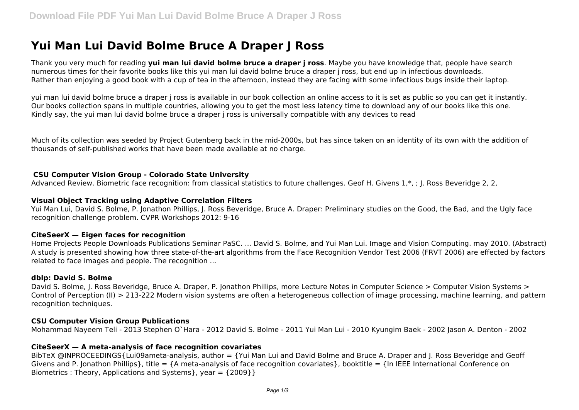# **Yui Man Lui David Bolme Bruce A Draper J Ross**

Thank you very much for reading **yui man lui david bolme bruce a draper j ross**. Maybe you have knowledge that, people have search numerous times for their favorite books like this yui man lui david bolme bruce a draper j ross, but end up in infectious downloads. Rather than enjoying a good book with a cup of tea in the afternoon, instead they are facing with some infectious bugs inside their laptop.

yui man lui david bolme bruce a draper j ross is available in our book collection an online access to it is set as public so you can get it instantly. Our books collection spans in multiple countries, allowing you to get the most less latency time to download any of our books like this one. Kindly say, the yui man lui david bolme bruce a draper j ross is universally compatible with any devices to read

Much of its collection was seeded by Project Gutenberg back in the mid-2000s, but has since taken on an identity of its own with the addition of thousands of self-published works that have been made available at no charge.

#### **CSU Computer Vision Group - Colorado State University**

Advanced Review. Biometric face recognition: from classical statistics to future challenges. Geof H. Givens 1,\*,; J. Ross Beveridge 2, 2,

#### **Visual Object Tracking using Adaptive Correlation Filters**

Yui Man Lui, David S. Bolme, P. Jonathon Phillips, J. Ross Beveridge, Bruce A. Draper: Preliminary studies on the Good, the Bad, and the Ugly face recognition challenge problem. CVPR Workshops 2012: 9-16

#### **CiteSeerX — Eigen faces for recognition**

Home Projects People Downloads Publications Seminar PaSC. ... David S. Bolme, and Yui Man Lui. Image and Vision Computing. may 2010. (Abstract) A study is presented showing how three state-of-the-art algorithms from the Face Recognition Vendor Test 2006 (FRVT 2006) are effected by factors related to face images and people. The recognition ...

#### **dblp: David S. Bolme**

David S. Bolme, J. Ross Beveridge, Bruce A. Draper, P. Jonathon Phillips, more Lecture Notes in Computer Science > Computer Vision Systems > Control of Perception (II) > 213-222 Modern vision systems are often a heterogeneous collection of image processing, machine learning, and pattern recognition techniques.

#### **CSU Computer Vision Group Publications**

Mohammad Nayeem Teli - 2013 Stephen O`Hara - 2012 David S. Bolme - 2011 Yui Man Lui - 2010 Kyungim Baek - 2002 Jason A. Denton - 2002

## **CiteSeerX — A meta-analysis of face recognition covariates**

BibTeX @INPROCEEDINGS{Lui09ameta-analysis, author = {Yui Man Lui and David Bolme and Bruce A. Draper and J. Ross Beveridge and Geoff Givens and P. Jonathon Phillips}, title = {A meta-analysis of face recognition covariates}, booktitle = {In IEEE International Conference on Biometrics : Theory, Applications and Systems }, year =  ${2009}$  }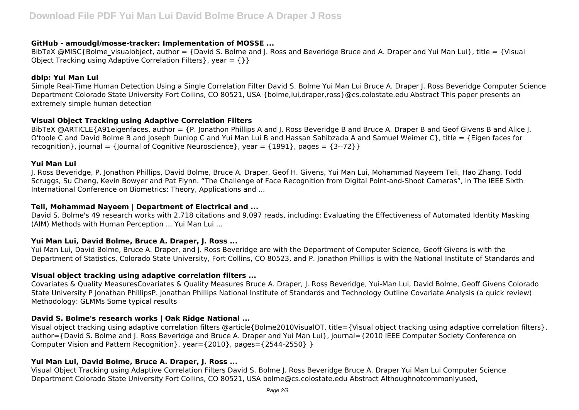## **GitHub - amoudgl/mosse-tracker: Implementation of MOSSE ...**

BibTeX @MISC{Bolme\_visualobject, author = {David S. Bolme and J. Ross and Beveridge Bruce and A. Draper and Yui Man Lui}, title = {Visual Object Tracking using Adaptive Correlation Filters }, year =  $\{ \}$ 

#### **dblp: Yui Man Lui**

Simple Real-Time Human Detection Using a Single Correlation Filter David S. Bolme Yui Man Lui Bruce A. Draper J. Ross Beveridge Computer Science Department Colorado State University Fort Collins, CO 80521, USA {bolme,lui,draper,ross}@cs.colostate.edu Abstract This paper presents an extremely simple human detection

## **Visual Object Tracking using Adaptive Correlation Filters**

BibTeX @ARTICLE{A91eigenfaces, author = {P. Jonathon Phillips A and J. Ross Beveridge B and Bruce A. Draper B and Geof Givens B and Alice J. O'toole C and David Bolme B and Joseph Dunlop C and Yui Man Lui B and Hassan Sahibzada A and Samuel Weimer C}, title = {Eigen faces for recognition }, journal = {|ournal of Cognitive Neuroscience }, year =  $\{1991\}$ , pages =  $\{3-72\}$ }

#### **Yui Man Lui**

J. Ross Beveridge, P. Jonathon Phillips, David Bolme, Bruce A. Draper, Geof H. Givens, Yui Man Lui, Mohammad Nayeem Teli, Hao Zhang, Todd Scruggs, Su Cheng, Kevin Bowyer and Pat Flynn. "The Challenge of Face Recognition from Digital Point-and-Shoot Cameras", in The IEEE Sixth International Conference on Biometrics: Theory, Applications and ...

#### **Teli, Mohammad Nayeem | Department of Electrical and ...**

David S. Bolme's 49 research works with 2,718 citations and 9,097 reads, including: Evaluating the Effectiveness of Automated Identity Masking (AIM) Methods with Human Perception ... Yui Man Lui ...

## **Yui Man Lui, David Bolme, Bruce A. Draper, J. Ross ...**

Yui Man Lui, David Bolme, Bruce A. Draper, and J. Ross Beveridge are with the Department of Computer Science, Geoff Givens is with the Department of Statistics, Colorado State University, Fort Collins, CO 80523, and P. Jonathon Phillips is with the National Institute of Standards and

## **Visual object tracking using adaptive correlation filters ...**

Covariates & Quality MeasuresCovariates & Quality Measures Bruce A. Draper, J. Ross Beveridge, Yui-Man Lui, David Bolme, Geoff Givens Colorado State University P Jonathan PhillipsP. Jonathan Phillips National Institute of Standards and Technology Outline Covariate Analysis (a quick review) Methodology: GLMMs Some typical results

## **David S. Bolme's research works | Oak Ridge National ...**

Visual object tracking using adaptive correlation filters @article{Bolme2010VisualOT, title={Visual object tracking using adaptive correlation filters}, author={David S. Bolme and J. Ross Beveridge and Bruce A. Draper and Yui Man Lui}, journal={2010 IEEE Computer Society Conference on Computer Vision and Pattern Recognition}, year={2010}, pages={2544-2550} }

## **Yui Man Lui, David Bolme, Bruce A. Draper, J. Ross ...**

Visual Object Tracking using Adaptive Correlation Filters David S. Bolme J. Ross Beveridge Bruce A. Draper Yui Man Lui Computer Science Department Colorado State University Fort Collins, CO 80521, USA bolme@cs.colostate.edu Abstract Althoughnotcommonlyused,